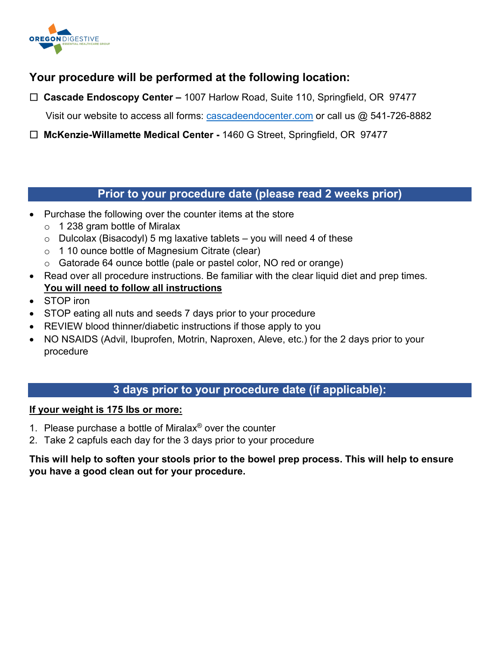

### **Your procedure will be performed at the following location:**

 **Cascade Endoscopy Center –** 1007 Harlow Road, Suite 110, Springfield, OR 97477

Visit our website to access all forms: [cascadeendocenter.com](https://cascadeendocenter.com/) or call us @ 541-726-8882

 **McKenzie-Willamette Medical Center -** 1460 G Street, Springfield, OR 97477

#### **Prior to your procedure date (please read 2 weeks prior)**

- Purchase the following over the counter items at the store
	- o 1 238 gram bottle of Miralax
	- $\circ$  Dulcolax (Bisacodyl) 5 mg laxative tablets you will need 4 of these
	- o 1 10 ounce bottle of Magnesium Citrate (clear)
	- o Gatorade 64 ounce bottle (pale or pastel color, NO red or orange)
- Read over all procedure instructions. Be familiar with the clear liquid diet and prep times. **You will need to follow all instructions**
- STOP iron
- STOP eating all nuts and seeds 7 days prior to your procedure
- REVIEW blood thinner/diabetic instructions if those apply to you
- NO NSAIDS (Advil, Ibuprofen, Motrin, Naproxen, Aleve, etc.) for the 2 days prior to your procedure

#### **3 days prior to your procedure date (if applicable):**

#### **If your weight is 175 lbs or more:**

- 1. Please purchase a bottle of Miralax<sup>®</sup> over the counter
- 2. Take 2 capfuls each day for the 3 days prior to your procedure

#### **This will help to soften your stools prior to the bowel prep process. This will help to ensure you have a good clean out for your procedure.**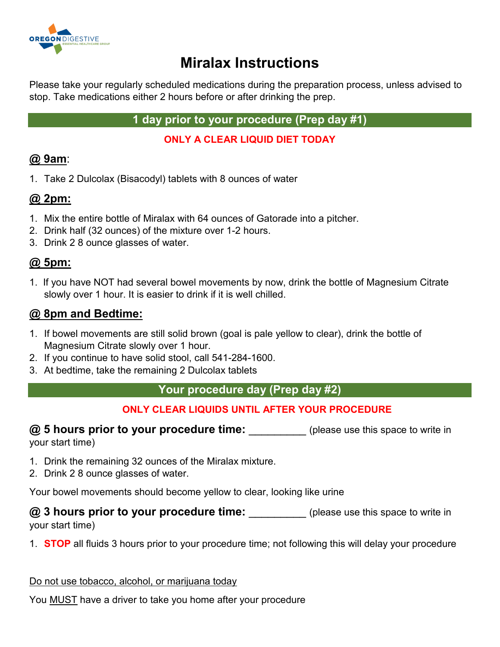

# **Miralax Instructions**

Please take your regularly scheduled medications during the preparation process, unless advised to stop. Take medications either 2 hours before or after drinking the prep.

**1 day prior to your procedure (Prep day #1)**

**ONLY A CLEAR LIQUID DIET TODAY**

# **@ 9am**:

1. Take 2 Dulcolax (Bisacodyl) tablets with 8 ounces of water

# **@ 2pm:**

- 1. Mix the entire bottle of Miralax with 64 ounces of Gatorade into a pitcher.
- 2. Drink half (32 ounces) of the mixture over 1-2 hours.
- 3. Drink 2 8 ounce glasses of water.

## **@ 5pm:**

1. If you have NOT had several bowel movements by now, drink the bottle of Magnesium Citrate slowly over 1 hour. It is easier to drink if it is well chilled.

## **@ 8pm and Bedtime:**

- 1. If bowel movements are still solid brown (goal is pale yellow to clear), drink the bottle of Magnesium Citrate slowly over 1 hour.
- 2. If you continue to have solid stool, call 541-284-1600.
- 3. At bedtime, take the remaining 2 Dulcolax tablets

### **Your procedure day (Prep day #2)**

## **ONLY CLEAR LIQUIDS UNTIL AFTER YOUR PROCEDURE**

**@ 5 hours prior to your procedure time:** \_\_\_\_\_\_\_\_\_\_(please use this space to write in your start time)

- 1. Drink the remaining 32 ounces of the Miralax mixture.
- 2. Drink 2 8 ounce glasses of water.

Your bowel movements should become yellow to clear, looking like urine

#### **@ 3 hours prior to your procedure time:** (please use this space to write in your start time)

1. **STOP** all fluids 3 hours prior to your procedure time; not following this will delay your procedure

Do not use tobacco, alcohol, or marijuana today

You MUST have a driver to take you home after your procedure